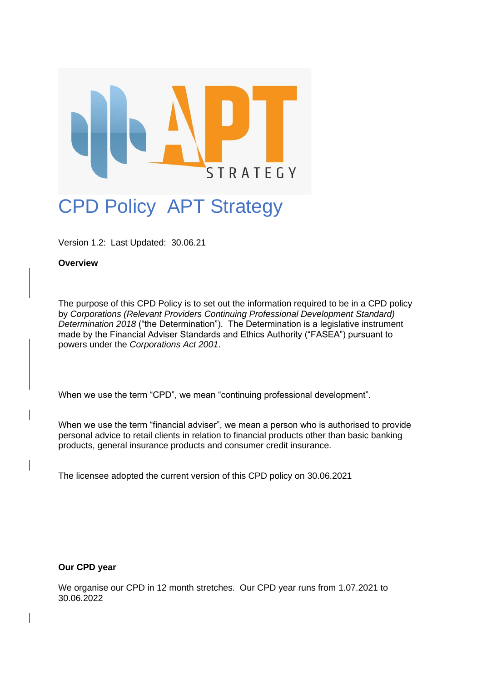

# CPD Policy APT Strategy

Version 1.2: Last Updated: 30.06.21

## **Overview**

The purpose of this CPD Policy is to set out the information required to be in a CPD policy by *Corporations (Relevant Providers Continuing Professional Development Standard) Determination 2018* ("the Determination"). The Determination is a legislative instrument made by the Financial Adviser Standards and Ethics Authority ("FASEA") pursuant to powers under the *Corporations Act 2001*.

When we use the term "CPD", we mean "continuing professional development".

When we use the term "financial adviser", we mean a person who is authorised to provide personal advice to retail clients in relation to financial products other than basic banking products, general insurance products and consumer credit insurance.

The licensee adopted the current version of this CPD policy on 30.06.2021

**Our CPD year**

We organise our CPD in 12 month stretches. Our CPD year runs from 1.07.2021 to 30.06.2022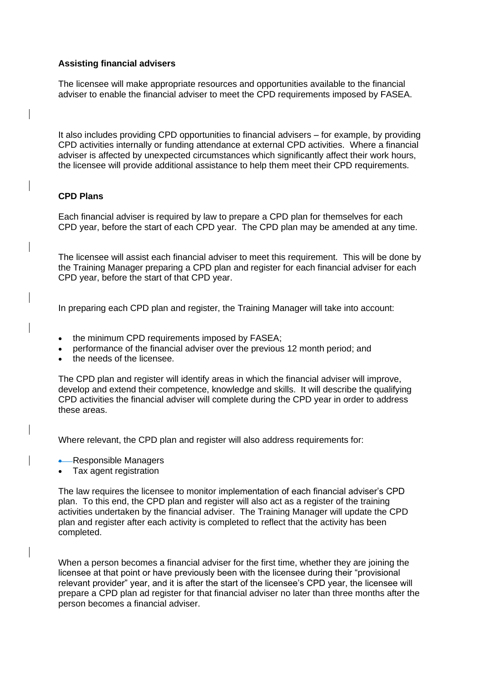#### **Assisting financial advisers**

The licensee will make appropriate resources and opportunities available to the financial adviser to enable the financial adviser to meet the CPD requirements imposed by FASEA.

It also includes providing CPD opportunities to financial advisers – for example, by providing CPD activities internally or funding attendance at external CPD activities. Where a financial adviser is affected by unexpected circumstances which significantly affect their work hours, the licensee will provide additional assistance to help them meet their CPD requirements.

# **CPD Plans**

Each financial adviser is required by law to prepare a CPD plan for themselves for each CPD year, before the start of each CPD year. The CPD plan may be amended at any time.

The licensee will assist each financial adviser to meet this requirement. This will be done by the Training Manager preparing a CPD plan and register for each financial adviser for each CPD year, before the start of that CPD year.

In preparing each CPD plan and register, the Training Manager will take into account:

- the minimum CPD requirements imposed by FASEA;
- performance of the financial adviser over the previous 12 month period; and
- the needs of the licensee.

The CPD plan and register will identify areas in which the financial adviser will improve, develop and extend their competence, knowledge and skills. It will describe the qualifying CPD activities the financial adviser will complete during the CPD year in order to address these areas.

Where relevant, the CPD plan and register will also address requirements for:

- -Responsible Managers
- Tax agent registration

The law requires the licensee to monitor implementation of each financial adviser's CPD plan. To this end, the CPD plan and register will also act as a register of the training activities undertaken by the financial adviser. The Training Manager will update the CPD plan and register after each activity is completed to reflect that the activity has been completed.

When a person becomes a financial adviser for the first time, whether they are joining the licensee at that point or have previously been with the licensee during their "provisional relevant provider" year, and it is after the start of the licensee's CPD year, the licensee will prepare a CPD plan ad register for that financial adviser no later than three months after the person becomes a financial adviser.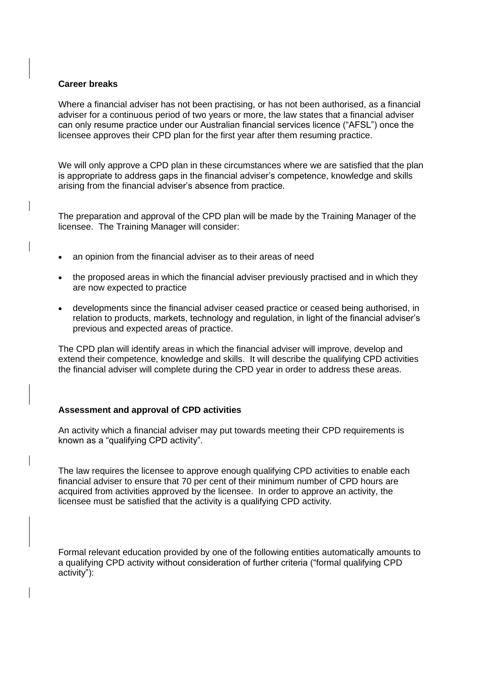#### **Career breaks**

Where a financial adviser has not been practising, or has not been authorised, as a financial adviser for a continuous period of two years or more, the law states that a financial adviser can only resume practice under our Australian financial services licence ("AFSL") once the licensee approves their CPD plan for the first year after them resuming practice.

We will only approve a CPD plan in these circumstances where we are satisfied that the plan is appropriate to address gaps in the financial adviser's competence, knowledge and skills arising from the financial adviser's absence from practice.

The preparation and approval of the CPD plan will be made by the Training Manager of the licensee. The Training Manager will consider:

- an opinion from the financial adviser as to their areas of need
- the proposed areas in which the financial adviser previously practised and in which they are now expected to practice
- developments since the financial adviser ceased practice or ceased being authorised, in relation to products, markets, technology and regulation, in light of the financial adviser's previous and expected areas of practice.

The CPD plan will identify areas in which the financial adviser will improve, develop and extend their competence, knowledge and skills. It will describe the qualifying CPD activities the financial adviser will complete during the CPD year in order to address these areas.

## **Assessment and approval of CPD activities**

An activity which a financial adviser may put towards meeting their CPD requirements is known as a "qualifying CPD activity".

The law requires the licensee to approve enough qualifying CPD activities to enable each financial adviser to ensure that 70 per cent of their minimum number of CPD hours are acquired from activities approved by the licensee. In order to approve an activity, the licensee must be satisfied that the activity is a qualifying CPD activity.

Formal relevant education provided by one of the following entities automatically amounts to a qualifying CPD activity without consideration of further criteria ("formal qualifying CPD activity"):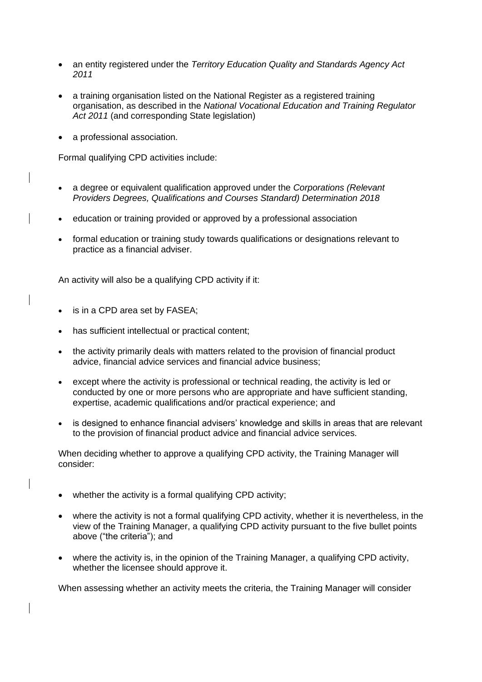- an entity registered under the *Territory Education Quality and Standards Agency Act 2011*
- a training organisation listed on the National Register as a registered training organisation, as described in the *National Vocational Education and Training Regulator Act 2011* (and corresponding State legislation)
- a professional association.

Formal qualifying CPD activities include:

- a degree or equivalent qualification approved under the *Corporations (Relevant Providers Degrees, Qualifications and Courses Standard) Determination 2018*
- education or training provided or approved by a professional association
- formal education or training study towards qualifications or designations relevant to practice as a financial adviser.

An activity will also be a qualifying CPD activity if it:

- is in a CPD area set by FASEA;
- has sufficient intellectual or practical content;
- the activity primarily deals with matters related to the provision of financial product advice, financial advice services and financial advice business;
- except where the activity is professional or technical reading, the activity is led or conducted by one or more persons who are appropriate and have sufficient standing, expertise, academic qualifications and/or practical experience; and
- is designed to enhance financial advisers' knowledge and skills in areas that are relevant to the provision of financial product advice and financial advice services.

When deciding whether to approve a qualifying CPD activity, the Training Manager will consider:

- whether the activity is a formal qualifying CPD activity;
- where the activity is not a formal qualifying CPD activity, whether it is nevertheless, in the view of the Training Manager, a qualifying CPD activity pursuant to the five bullet points above ("the criteria"); and
- where the activity is, in the opinion of the Training Manager, a qualifying CPD activity, whether the licensee should approve it.

When assessing whether an activity meets the criteria, the Training Manager will consider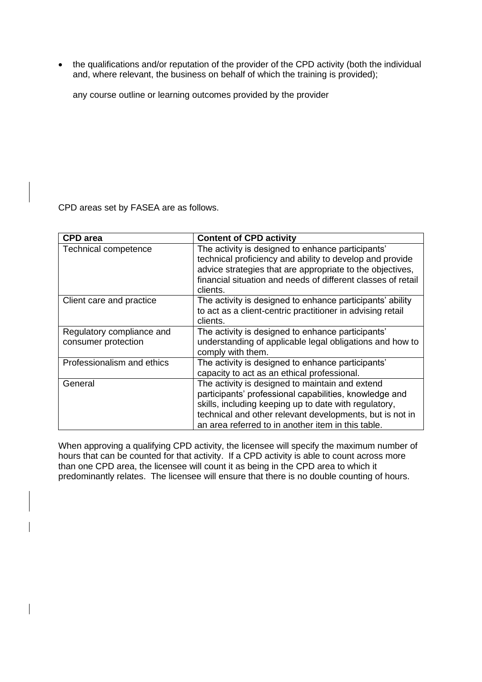• the qualifications and/or reputation of the provider of the CPD activity (both the individual and, where relevant, the business on behalf of which the training is provided);

any course outline or learning outcomes provided by the provider

CPD areas set by FASEA are as follows.

| <b>CPD</b> area            | <b>Content of CPD activity</b>                               |
|----------------------------|--------------------------------------------------------------|
| Technical competence       | The activity is designed to enhance participants'            |
|                            | technical proficiency and ability to develop and provide     |
|                            | advice strategies that are appropriate to the objectives,    |
|                            | financial situation and needs of different classes of retail |
|                            | clients.                                                     |
| Client care and practice   | The activity is designed to enhance participants' ability    |
|                            | to act as a client-centric practitioner in advising retail   |
|                            | clients.                                                     |
| Regulatory compliance and  | The activity is designed to enhance participants'            |
| consumer protection        | understanding of applicable legal obligations and how to     |
|                            | comply with them.                                            |
| Professionalism and ethics | The activity is designed to enhance participants'            |
|                            | capacity to act as an ethical professional.                  |
| General                    | The activity is designed to maintain and extend              |
|                            | participants' professional capabilities, knowledge and       |
|                            | skills, including keeping up to date with regulatory,        |
|                            | technical and other relevant developments, but is not in     |
|                            | an area referred to in another item in this table.           |

When approving a qualifying CPD activity, the licensee will specify the maximum number of hours that can be counted for that activity. If a CPD activity is able to count across more than one CPD area, the licensee will count it as being in the CPD area to which it predominantly relates. The licensee will ensure that there is no double counting of hours.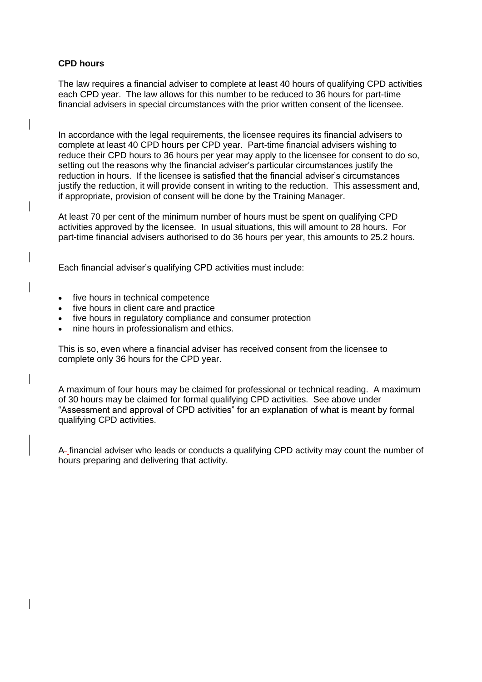## **CPD hours**

The law requires a financial adviser to complete at least 40 hours of qualifying CPD activities each CPD year. The law allows for this number to be reduced to 36 hours for part-time financial advisers in special circumstances with the prior written consent of the licensee.

In accordance with the legal requirements, the licensee requires its financial advisers to complete at least 40 CPD hours per CPD year. Part-time financial advisers wishing to reduce their CPD hours to 36 hours per year may apply to the licensee for consent to do so, setting out the reasons why the financial adviser's particular circumstances justify the reduction in hours. If the licensee is satisfied that the financial adviser's circumstances justify the reduction, it will provide consent in writing to the reduction. This assessment and, if appropriate, provision of consent will be done by the Training Manager.

At least 70 per cent of the minimum number of hours must be spent on qualifying CPD activities approved by the licensee. In usual situations, this will amount to 28 hours. For part-time financial advisers authorised to do 36 hours per year, this amounts to 25.2 hours.

Each financial adviser's qualifying CPD activities must include:

- five hours in technical competence
- five hours in client care and practice
- five hours in regulatory compliance and consumer protection
- nine hours in professionalism and ethics.

This is so, even where a financial adviser has received consent from the licensee to complete only 36 hours for the CPD year.

A maximum of four hours may be claimed for professional or technical reading. A maximum of 30 hours may be claimed for formal qualifying CPD activities. See above under "Assessment and approval of CPD activities" for an explanation of what is meant by formal qualifying CPD activities.

A financial adviser who leads or conducts a qualifying CPD activity may count the number of hours preparing and delivering that activity.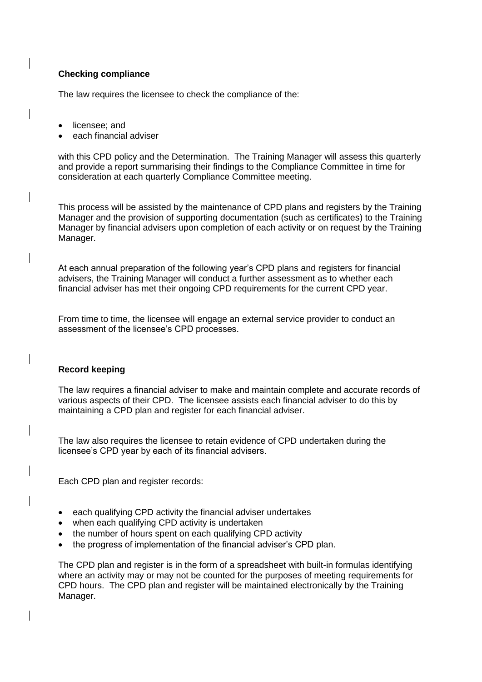# **Checking compliance**

The law requires the licensee to check the compliance of the:

- licensee; and
- each financial adviser

with this CPD policy and the Determination. The Training Manager will assess this quarterly and provide a report summarising their findings to the Compliance Committee in time for consideration at each quarterly Compliance Committee meeting.

This process will be assisted by the maintenance of CPD plans and registers by the Training Manager and the provision of supporting documentation (such as certificates) to the Training Manager by financial advisers upon completion of each activity or on request by the Training Manager.

At each annual preparation of the following year's CPD plans and registers for financial advisers, the Training Manager will conduct a further assessment as to whether each financial adviser has met their ongoing CPD requirements for the current CPD year.

From time to time, the licensee will engage an external service provider to conduct an assessment of the licensee's CPD processes.

## **Record keeping**

The law requires a financial adviser to make and maintain complete and accurate records of various aspects of their CPD. The licensee assists each financial adviser to do this by maintaining a CPD plan and register for each financial adviser.

The law also requires the licensee to retain evidence of CPD undertaken during the licensee's CPD year by each of its financial advisers.

Each CPD plan and register records:

- each qualifying CPD activity the financial adviser undertakes
- when each qualifying CPD activity is undertaken
- the number of hours spent on each qualifying CPD activity
- the progress of implementation of the financial adviser's CPD plan.

The CPD plan and register is in the form of a spreadsheet with built-in formulas identifying where an activity may or may not be counted for the purposes of meeting requirements for CPD hours. The CPD plan and register will be maintained electronically by the Training Manager.